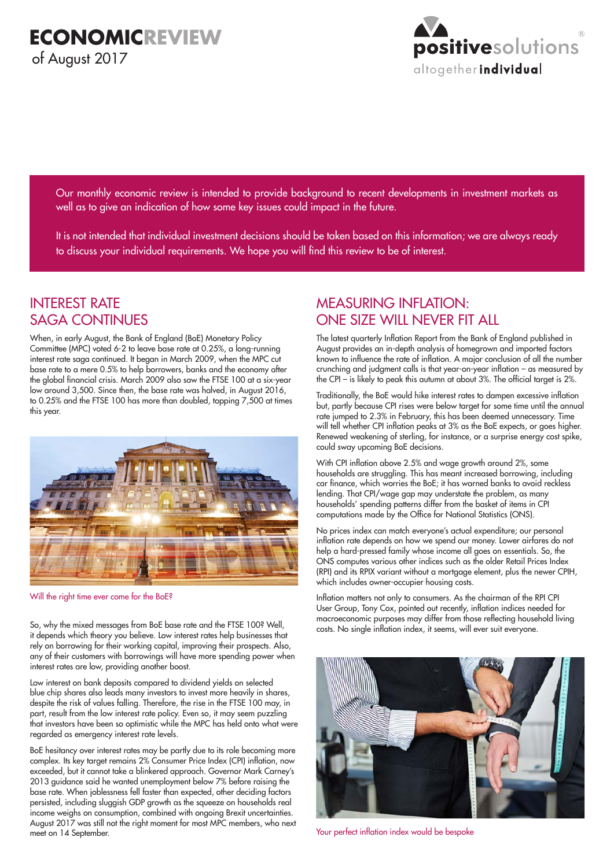

Our monthly economic review is intended to provide background to recent developments in investment markets as well as to give an indication of how some key issues could impact in the future.

It is not intended that individual investment decisions should be taken based on this information; we are always ready to discuss your individual requirements. We hope you will find this review to be of interest.

## INTEREST RATE SAGA CONTINUES

When, in early August, the Bank of England (BoE) Monetary Policy Committee (MPC) voted 6-2 to leave base rate at 0.25%, a long-running interest rate saga continued. It began in March 2009, when the MPC cut base rate to a mere 0.5% to help borrowers, banks and the economy after the global financial crisis. March 2009 also saw the FTSE 100 at a six-year low around 3,500. Since then, the base rate was halved, in August 2016, to 0.25% and the FTSE 100 has more than doubled, topping 7,500 at times this year.



Will the right time ever come for the BoE?

So, why the mixed messages from BoE base rate and the FTSE 100? Well, it depends which theory you believe. Low interest rates help businesses that rely on borrowing for their working capital, improving their prospects. Also, any of their customers with borrowings will have more spending power when interest rates are low, providing another boost.

Low interest on bank deposits compared to dividend yields on selected blue chip shares also leads many investors to invest more heavily in shares, despite the risk of values falling. Therefore, the rise in the FTSE 100 may, in part, result from the low interest rate policy. Even so, it may seem puzzling that investors have been so optimistic while the MPC has held onto what were regarded as emergency interest rate levels.

BoE hesitancy over interest rates may be partly due to its role becoming more complex. Its key target remains 2% Consumer Price Index (CPI) inflation, now exceeded, but it cannot take a blinkered approach. Governor Mark Carney's 2013 guidance said he wanted unemployment below 7% before raising the base rate. When joblessness fell faster than expected, other deciding factors persisted, including sluggish GDP growth as the squeeze on households real income weighs on consumption, combined with ongoing Brexit uncertainties. August 2017 was still not the right moment for most MPC members, who next meet on 14 September.

# MEASURING INFLATION: ONE SIZE WILL NEVER FIT ALL

The latest quarterly Inflation Report from the Bank of England published in August provides an in-depth analysis of homegrown and imported factors known to influence the rate of inflation. A major conclusion of all the number crunching and judgment calls is that year-on-year inflation – as measured by the CPI – is likely to peak this autumn at about 3%. The official target is 2%.

Traditionally, the BoE would hike interest rates to dampen excessive inflation but, partly because CPI rises were below target for some time until the annual rate jumped to 2.3% in February, this has been deemed unnecessary. Time will tell whether CPI inflation peaks at 3% as the BoE expects, or goes higher. Renewed weakening of sterling, for instance, or a surprise energy cost spike, could sway upcoming BoE decisions.

With CPI inflation above 2.5% and wage growth around 2%, some households are struggling. This has meant increased borrowing, including car finance, which worries the BoE; it has warned banks to avoid reckless lending. That CPI/wage gap may understate the problem, as many households' spending patterns differ from the basket of items in CPI computations made by the Office for National Statistics (ONS).

No prices index can match everyone's actual expenditure; our personal inflation rate depends on how we spend our money. Lower airfares do not help a hard-pressed family whose income all goes on essentials. So, the ONS computes various other indices such as the older Retail Prices Index (RPI) and its RPIX variant without a mortgage element, plus the newer CPIH, which includes owner-occupier housing costs.

Inflation matters not only to consumers. As the chairman of the RPI CPI User Group, Tony Cox, pointed out recently, inflation indices needed for macroeconomic purposes may differ from those reflecting household living costs. No single inflation index, it seems, will ever suit everyone.



Your perfect inflation index would be bespoke